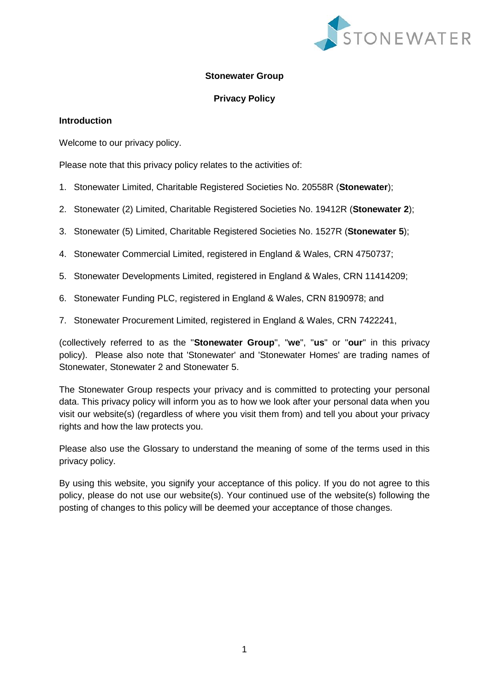

### **Stonewater Group**

## **Privacy Policy**

### **Introduction**

Welcome to our privacy policy.

Please note that this privacy policy relates to the activities of:

- 1. Stonewater Limited, Charitable Registered Societies No. 20558R (**Stonewater**);
- 2. Stonewater (2) Limited, Charitable Registered Societies No. 19412R (**Stonewater 2**);
- 3. Stonewater (5) Limited, Charitable Registered Societies No. 1527R (**Stonewater 5**);
- 4. Stonewater Commercial Limited, registered in England & Wales, CRN 4750737;
- 5. Stonewater Developments Limited, registered in England & Wales, CRN 11414209;
- 6. Stonewater Funding PLC, registered in England & Wales, CRN 8190978; and
- 7. Stonewater Procurement Limited, registered in England & Wales, CRN 7422241,

(collectively referred to as the "**Stonewater Group**", "**we**", "**us**" or "**our**" in this privacy policy). Please also note that 'Stonewater' and 'Stonewater Homes' are trading names of Stonewater, Stonewater 2 and Stonewater 5.

The Stonewater Group respects your privacy and is committed to protecting your personal data. This privacy policy will inform you as to how we look after your personal data when you visit our website(s) (regardless of where you visit them from) and tell you about your privacy rights and how the law protects you.

Please also use the [Glossary](#page-26-0) to understand the meaning of some of the terms used in this privacy policy.

By using this website, you signify your acceptance of this policy. If you do not agree to this policy, please do not use our website(s). Your continued use of the website(s) following the posting of changes to this policy will be deemed your acceptance of those changes.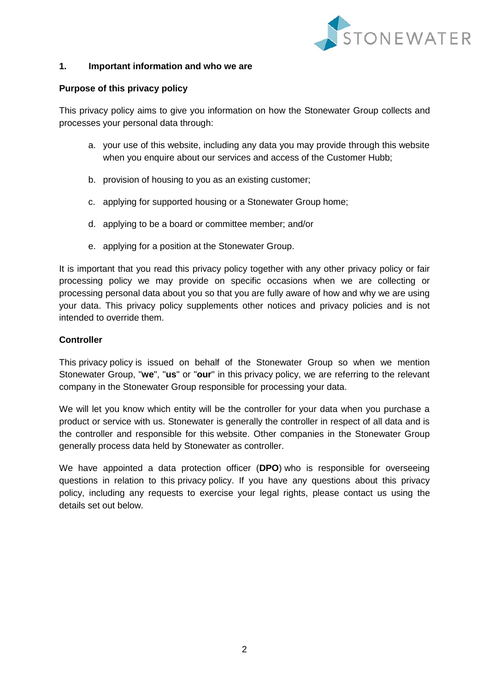

#### **1. Important information and who we are**

### **Purpose of this privacy policy**

This privacy policy aims to give you information on how the Stonewater Group collects and processes your personal data through:

- a. your use of this website, including any data you may provide through this website when you enquire about our services and access of the Customer Hubb;
- b. provision of housing to you as an existing customer;
- c. applying for supported housing or a Stonewater Group home;
- d. applying to be a board or committee member; and/or
- e. applying for a position at the Stonewater Group.

It is important that you read this privacy policy together with any other privacy policy or fair processing policy we may provide on specific occasions when we are collecting or processing personal data about you so that you are fully aware of how and why we are using your data. This privacy policy supplements other notices and privacy policies and is not intended to override them.

### **Controller**

This privacy policy is issued on behalf of the Stonewater Group so when we mention Stonewater Group, "**we**", "**us**" or "**our**" in this privacy policy, we are referring to the relevant company in the Stonewater Group responsible for processing your data.

We will let you know which entity will be the controller for your data when you purchase a product or service with us. Stonewater is generally the controller in respect of all data and is the controller and responsible for this website. Other companies in the Stonewater Group generally process data held by Stonewater as controller.

We have appointed a data protection officer (**DPO**) who is responsible for overseeing questions in relation to this privacy policy. If you have any questions about this privacy policy, including any requests to exercise your legal rights, please contact us using the details set out below.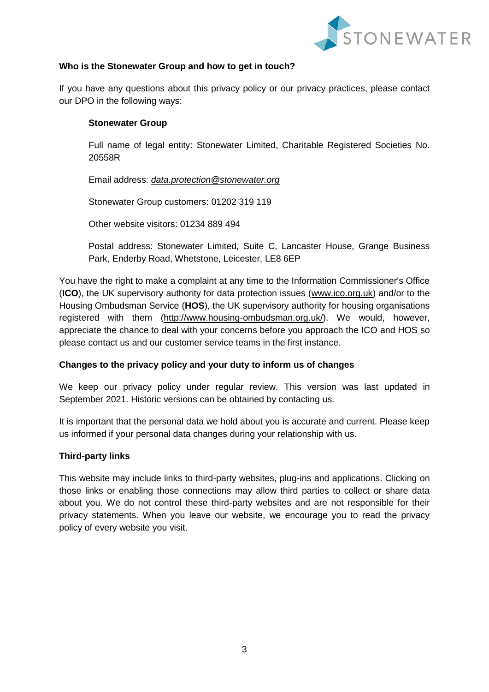

## **Who is the Stonewater Group and how to get in touch?**

If you have any questions about this privacy policy or our privacy practices, please contact our DPO in the following ways:

#### **Stonewater Group**

Full name of legal entity: Stonewater Limited, Charitable Registered Societies No. 20558R

Email address: *[data.protection@stonewater.org](mailto:data.protection@stonewater.org)*

Stonewater Group customers: 01202 319 119

Other website visitors: 01234 889 494

Postal address: Stonewater Limited, Suite C, Lancaster House, Grange Business Park, Enderby Road, Whetstone, Leicester, LE8 6EP

You have the right to make a complaint at any time to the Information Commissioner's Office (**ICO**), the UK supervisory authority for data protection issues [\(www.ico.org.uk\)](http://www.ico.org.uk/) and/or to the Housing Ombudsman Service (**HOS**), the UK supervisory authority for housing organisations registered with them [\(http://www.housing-ombudsman.org.uk/\)](http://www.housing-ombudsman.org.uk/). We would, however, appreciate the chance to deal with your concerns before you approach the ICO and HOS so please contact us and our customer service teams in the first instance.

## **Changes to the privacy policy and your duty to inform us of changes**

We keep our privacy policy under regular review. This version was last updated in September 2021. Historic versions can be obtained by contacting us.

It is important that the personal data we hold about you is accurate and current. Please keep us informed if your personal data changes during your relationship with us.

#### **Third-party links**

This website may include links to third-party websites, plug-ins and applications. Clicking on those links or enabling those connections may allow third parties to collect or share data about you. We do not control these third-party websites and are not responsible for their privacy statements. When you leave our website, we encourage you to read the privacy policy of every website you visit.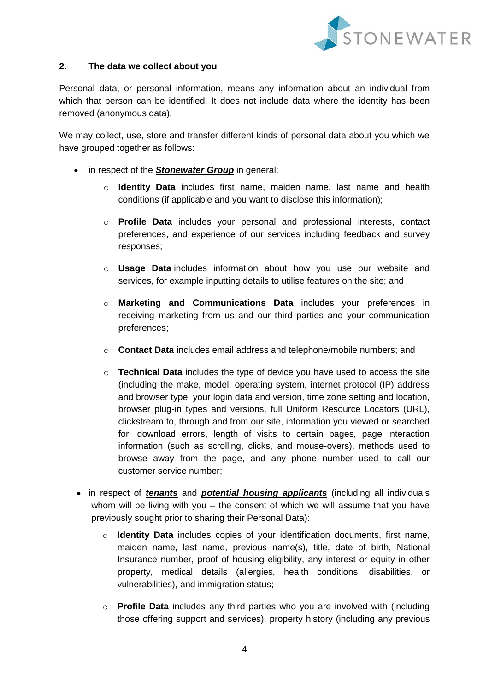

### **2. The data we collect about you**

Personal data, or personal information, means any information about an individual from which that person can be identified. It does not include data where the identity has been removed (anonymous data).

We may collect, use, store and transfer different kinds of personal data about you which we have grouped together as follows:

- in respect of the *Stonewater Group* in general:
	- o **Identity Data** includes first name, maiden name, last name and health conditions (if applicable and you want to disclose this information);
	- o **Profile Data** includes your personal and professional interests, contact preferences, and experience of our services including feedback and survey responses;
	- o **Usage Data** includes information about how you use our website and services, for example inputting details to utilise features on the site; and
	- o **Marketing and Communications Data** includes your preferences in receiving marketing from us and our third parties and your communication preferences;
	- o **Contact Data** includes email address and telephone/mobile numbers; and
	- o **Technical Data** includes the type of device you have used to access the site (including the make, model, operating system, internet protocol (IP) address and browser type, your login data and version, time zone setting and location, browser plug-in types and versions, full Uniform Resource Locators (URL), clickstream to, through and from our site, information you viewed or searched for, download errors, length of visits to certain pages, page interaction information (such as scrolling, clicks, and mouse-overs), methods used to browse away from the page, and any phone number used to call our customer service number;
- in respect of *tenants* and *potential housing applicants* (including all individuals whom will be living with you  $-$  the consent of which we will assume that you have previously sought prior to sharing their Personal Data):
	- o **Identity Data** includes copies of your identification documents, first name, maiden name, last name, previous name(s), title, date of birth, National Insurance number, proof of housing eligibility, any interest or equity in other property, medical details (allergies, health conditions, disabilities, or vulnerabilities), and immigration status;
	- o **Profile Data** includes any third parties who you are involved with (including those offering support and services), property history (including any previous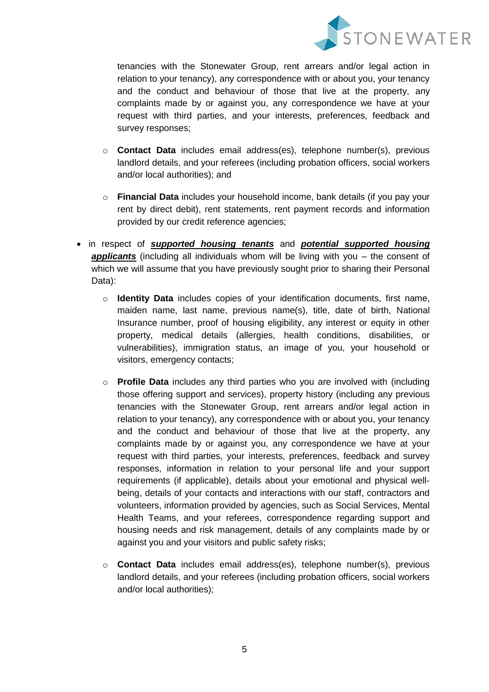

tenancies with the Stonewater Group, rent arrears and/or legal action in relation to your tenancy), any correspondence with or about you, your tenancy and the conduct and behaviour of those that live at the property, any complaints made by or against you, any correspondence we have at your request with third parties, and your interests, preferences, feedback and survey responses;

- o **Contact Data** includes email address(es), telephone number(s), previous landlord details, and your referees (including probation officers, social workers and/or local authorities); and
- o **Financial Data** includes your household income, bank details (if you pay your rent by direct debit), rent statements, rent payment records and information provided by our credit reference agencies;
- in respect of *supported housing tenants* and *potential supported housing applicants* (including all individuals whom will be living with you – the consent of which we will assume that you have previously sought prior to sharing their Personal Data):
	- o **Identity Data** includes copies of your identification documents, first name, maiden name, last name, previous name(s), title, date of birth, National Insurance number, proof of housing eligibility, any interest or equity in other property, medical details (allergies, health conditions, disabilities, or vulnerabilities), immigration status, an image of you, your household or visitors, emergency contacts;
	- o **Profile Data** includes any third parties who you are involved with (including those offering support and services), property history (including any previous tenancies with the Stonewater Group, rent arrears and/or legal action in relation to your tenancy), any correspondence with or about you, your tenancy and the conduct and behaviour of those that live at the property, any complaints made by or against you, any correspondence we have at your request with third parties, your interests, preferences, feedback and survey responses, information in relation to your personal life and your support requirements (if applicable), details about your emotional and physical wellbeing, details of your contacts and interactions with our staff, contractors and volunteers, information provided by agencies, such as Social Services, Mental Health Teams, and your referees, correspondence regarding support and housing needs and risk management, details of any complaints made by or against you and your visitors and public safety risks;
	- o **Contact Data** includes email address(es), telephone number(s), previous landlord details, and your referees (including probation officers, social workers and/or local authorities);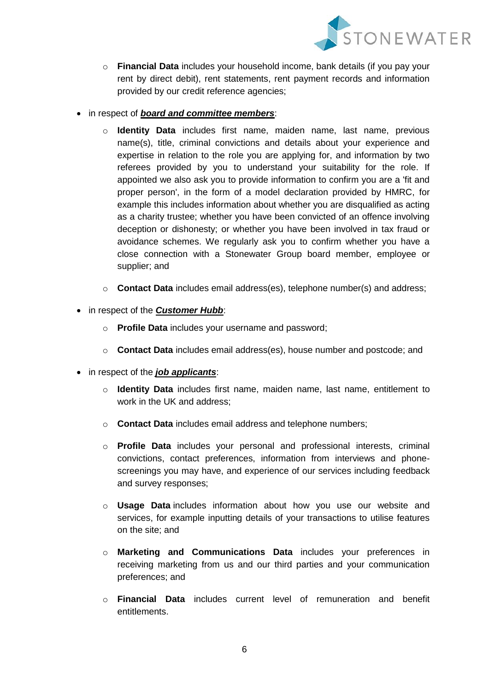

- o **Financial Data** includes your household income, bank details (if you pay your rent by direct debit), rent statements, rent payment records and information provided by our credit reference agencies;
- in respect of *board and committee members*:
	- o **Identity Data** includes first name, maiden name, last name, previous name(s), title, criminal convictions and details about your experience and expertise in relation to the role you are applying for, and information by two referees provided by you to understand your suitability for the role. If appointed we also ask you to provide information to confirm you are a 'fit and proper person', in the form of a model declaration provided by HMRC, for example this includes information about whether you are disqualified as acting as a charity trustee; whether you have been convicted of an offence involving deception or dishonesty; or whether you have been involved in tax fraud or avoidance schemes. We regularly ask you to confirm whether you have a close connection with a Stonewater Group board member, employee or supplier; and
	- o **Contact Data** includes email address(es), telephone number(s) and address;
- in respect of the *Customer Hubb*:
	- o **Profile Data** includes your username and password;
	- o **Contact Data** includes email address(es), house number and postcode; and
- in respect of the *job applicants*:
	- o **Identity Data** includes first name, maiden name, last name, entitlement to work in the UK and address;
	- o **Contact Data** includes email address and telephone numbers;
	- o **Profile Data** includes your personal and professional interests, criminal convictions, contact preferences, information from interviews and phonescreenings you may have, and experience of our services including feedback and survey responses;
	- o **Usage Data** includes information about how you use our website and services, for example inputting details of your transactions to utilise features on the site; and
	- o **Marketing and Communications Data** includes your preferences in receiving marketing from us and our third parties and your communication preferences; and
	- o **Financial Data** includes current level of remuneration and benefit entitlements.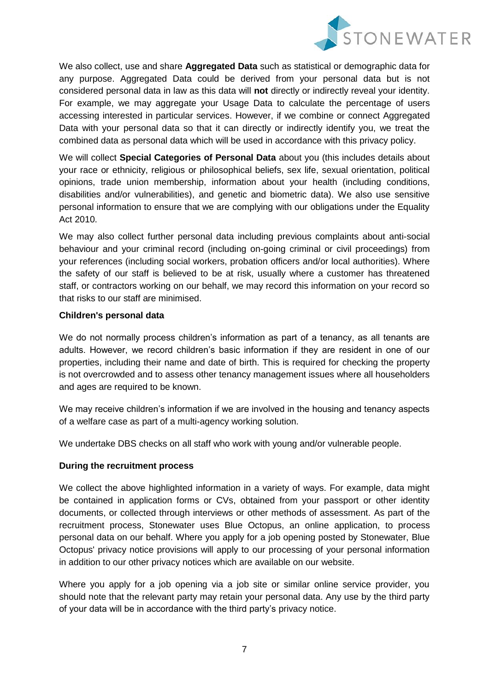

We also collect, use and share **Aggregated Data** such as statistical or demographic data for any purpose. Aggregated Data could be derived from your personal data but is not considered personal data in law as this data will **not** directly or indirectly reveal your identity. For example, we may aggregate your Usage Data to calculate the percentage of users accessing interested in particular services. However, if we combine or connect Aggregated Data with your personal data so that it can directly or indirectly identify you, we treat the combined data as personal data which will be used in accordance with this privacy policy.

We will collect **Special Categories of Personal Data** about you (this includes details about your race or ethnicity, religious or philosophical beliefs, sex life, sexual orientation, political opinions, trade union membership, information about your health (including conditions, disabilities and/or vulnerabilities), and genetic and biometric data). We also use sensitive personal information to ensure that we are complying with our obligations under the Equality Act 2010.

We may also collect further personal data including previous complaints about anti-social behaviour and your criminal record (including on-going criminal or civil proceedings) from your references (including social workers, probation officers and/or local authorities). Where the safety of our staff is believed to be at risk, usually where a customer has threatened staff, or contractors working on our behalf, we may record this information on your record so that risks to our staff are minimised.

## **Children's personal data**

We do not normally process children's information as part of a tenancy, as all tenants are adults. However, we record children's basic information if they are resident in one of our properties, including their name and date of birth. This is required for checking the property is not overcrowded and to assess other tenancy management issues where all householders and ages are required to be known.

We may receive children's information if we are involved in the housing and tenancy aspects of a welfare case as part of a multi-agency working solution.

We undertake DBS checks on all staff who work with young and/or vulnerable people.

## **During the recruitment process**

We collect the above highlighted information in a variety of ways. For example, data might be contained in application forms or CVs, obtained from your passport or other identity documents, or collected through interviews or other methods of assessment. As part of the recruitment process, Stonewater uses Blue Octopus, an online application, to process personal data on our behalf. Where you apply for a job opening posted by Stonewater, Blue Octopus' privacy notice provisions will apply to our processing of your personal information in addition to our other privacy notices which are available on our website.

Where you apply for a job opening via a job site or similar online service provider, you should note that the relevant party may retain your personal data. Any use by the third party of your data will be in accordance with the third party's privacy notice.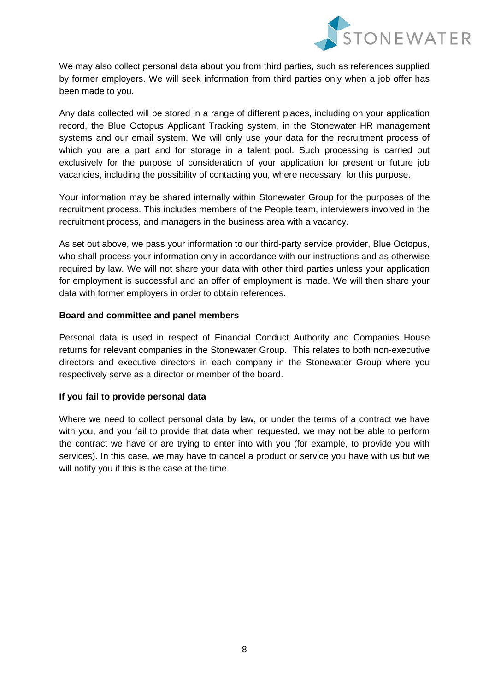

We may also collect personal data about you from third parties, such as references supplied by former employers. We will seek information from third parties only when a job offer has been made to you.

Any data collected will be stored in a range of different places, including on your application record, the Blue Octopus Applicant Tracking system, in the Stonewater HR management systems and our email system. We will only use your data for the recruitment process of which you are a part and for storage in a talent pool. Such processing is carried out exclusively for the purpose of consideration of your application for present or future job vacancies, including the possibility of contacting you, where necessary, for this purpose.

Your information may be shared internally within Stonewater Group for the purposes of the recruitment process. This includes members of the People team, interviewers involved in the recruitment process, and managers in the business area with a vacancy.

As set out above, we pass your information to our third-party service provider, Blue Octopus, who shall process your information only in accordance with our instructions and as otherwise required by law. We will not share your data with other third parties unless your application for employment is successful and an offer of employment is made. We will then share your data with former employers in order to obtain references.

## **Board and committee and panel members**

Personal data is used in respect of Financial Conduct Authority and Companies House returns for relevant companies in the Stonewater Group. This relates to both non-executive directors and executive directors in each company in the Stonewater Group where you respectively serve as a director or member of the board.

## **If you fail to provide personal data**

Where we need to collect personal data by law, or under the terms of a contract we have with you, and you fail to provide that data when requested, we may not be able to perform the contract we have or are trying to enter into with you (for example, to provide you with services). In this case, we may have to cancel a product or service you have with us but we will notify you if this is the case at the time.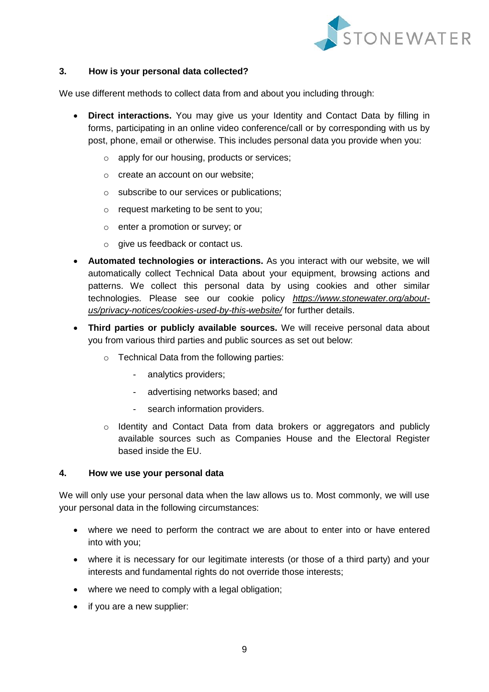

## **3. How is your personal data collected?**

We use different methods to collect data from and about you including through:

- **Direct interactions.** You may give us your Identity and Contact Data by filling in forms, participating in an online video conference/call or by corresponding with us by post, phone, email or otherwise. This includes personal data you provide when you:
	- o apply for our housing, products or services;
	- o create an account on our website;
	- o subscribe to our services or publications;
	- o request marketing to be sent to you;
	- o enter a promotion or survey; or
	- $\circ$  give us feedback or contact us.
- **Automated technologies or interactions.** As you interact with our website, we will automatically collect Technical Data about your equipment, browsing actions and patterns. We collect this personal data by using cookies and other similar technologies. Please see our cookie policy *[https://www.stonewater.org/about](https://www.stonewater.org/about-us/privacy-notices/cookies-used-by-this-website/)[us/privacy-notices/cookies-used-by-this-website/](https://www.stonewater.org/about-us/privacy-notices/cookies-used-by-this-website/)* for further details.
- **Third parties or publicly available sources.** We will receive personal data about you from various third parties and public sources as set out below:
	- o Technical Data from the following parties:
		- analytics providers;
		- advertising networks based; and
		- search information providers.
	- o Identity and Contact Data from data brokers or aggregators and publicly available sources such as Companies House and the Electoral Register based inside the EU.

#### **4. How we use your personal data**

We will only use your personal data when the law allows us to. Most commonly, we will use your personal data in the following circumstances:

- where we need to perform the contract we are about to enter into or have entered into with you;
- where it is necessary for our legitimate interests (or those of a third party) and your interests and fundamental rights do not override those interests:
- where we need to comply with a legal obligation:
- if you are a new supplier: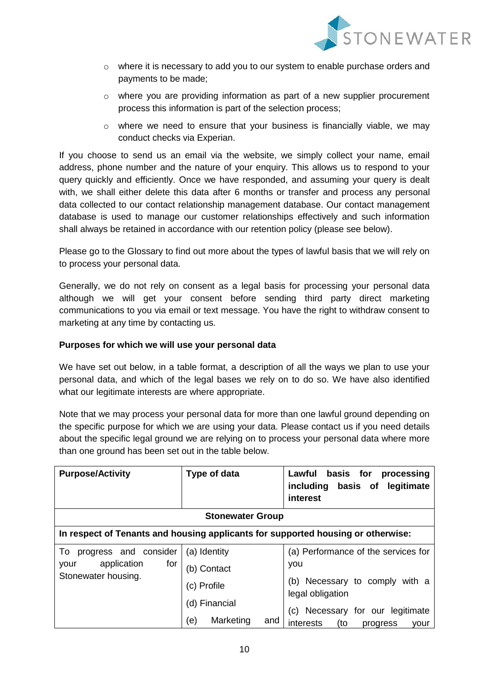

- $\circ$  where it is necessary to add you to our system to enable purchase orders and payments to be made;
- $\circ$  where you are providing information as part of a new supplier procurement process this information is part of the selection process;
- o where we need to ensure that your business is financially viable, we may conduct checks via Experian.

If you choose to send us an email via the website, we simply collect your name, email address, phone number and the nature of your enquiry. This allows us to respond to your query quickly and efficiently. Once we have responded, and assuming your query is dealt with, we shall either delete this data after 6 months or transfer and process any personal data collected to our contact relationship management database. Our contact management database is used to manage our customer relationships effectively and such information shall always be retained in accordance with our retention policy (please see below).

Please go to the [Glossary](#page-26-0) to find out more about the types of lawful basis that we will rely on to process your personal data.

Generally, we do not rely on consent as a legal basis for processing your personal data although we will get your consent before sending third party direct marketing communications to you via email or text message. You have the right to withdraw consent to marketing at any time by contacting us.

## **Purposes for which we will use your personal data**

We have set out below, in a table format, a description of all the ways we plan to use your personal data, and which of the legal bases we rely on to do so. We have also identified what our legitimate interests are where appropriate.

Note that we may process your personal data for more than one lawful ground depending on the specific purpose for which we are using your data. Please contact us if you need details about the specific legal ground we are relying on to process your personal data where more than one ground has been set out in the table below.

| <b>Purpose/Activity</b>                           | Type of data            | Lawful<br>basis for<br>processing<br>including basis of<br>legitimate<br>interest |
|---------------------------------------------------|-------------------------|-----------------------------------------------------------------------------------|
| <b>Stonewater Group</b>                           |                         |                                                                                   |
|                                                   |                         | In respect of Tenants and housing applicants for supported housing or otherwise:  |
| progress and consider<br>To                       | (a) Identity            | (a) Performance of the services for                                               |
| application<br>for<br>your<br>Stonewater housing. | (b) Contact             | you                                                                               |
|                                                   | (c) Profile             | (b) Necessary to comply with a<br>legal obligation                                |
|                                                   | (d) Financial           | Necessary for our legitimate<br>(C)                                               |
|                                                   | Marketing<br>(e)<br>and | interests<br>(to<br>progress<br>your                                              |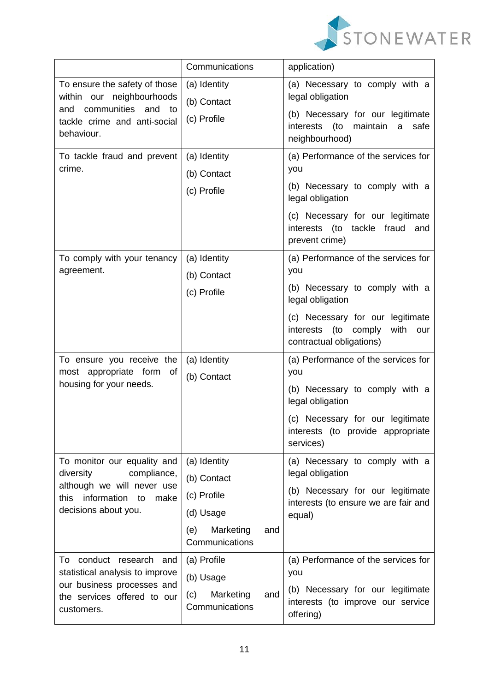

|                                                                                               | Communications                            | application)                                                                                              |
|-----------------------------------------------------------------------------------------------|-------------------------------------------|-----------------------------------------------------------------------------------------------------------|
| To ensure the safety of those<br>within our neighbourhoods<br>communities<br>and<br>and<br>to | (a) Identity<br>(b) Contact               | (a) Necessary to comply with a<br>legal obligation                                                        |
| tackle crime and anti-social<br>behaviour.                                                    | (c) Profile                               | (b) Necessary for our legitimate<br>(to<br>interests<br>maintain a<br>safe<br>neighbourhood)              |
| To tackle fraud and prevent<br>crime.                                                         | (a) Identity<br>(b) Contact               | (a) Performance of the services for<br>you                                                                |
|                                                                                               | (c) Profile                               | (b) Necessary to comply with a<br>legal obligation                                                        |
|                                                                                               |                                           | (c) Necessary for our legitimate<br>interests (to tackle fraud<br>and<br>prevent crime)                   |
| To comply with your tenancy<br>agreement.                                                     | (a) Identity<br>(b) Contact               | (a) Performance of the services for<br>you                                                                |
|                                                                                               | (c) Profile                               | (b) Necessary to comply with a<br>legal obligation                                                        |
|                                                                                               |                                           | (c) Necessary for our legitimate<br>interests<br>(to<br>with<br>comply<br>our<br>contractual obligations) |
| To ensure you receive the<br>most appropriate form of                                         | (a) Identity                              | (a) Performance of the services for<br>you                                                                |
| housing for your needs.                                                                       | (b) Contact                               | (b) Necessary to comply with a<br>legal obligation                                                        |
|                                                                                               |                                           | (c) Necessary for our legitimate<br>interests (to provide appropriate<br>services)                        |
| To monitor our equality and<br>diversity<br>compliance,                                       | (a) Identity<br>(b) Contact               | (a) Necessary to comply with a<br>legal obligation                                                        |
| although we will never use<br>this<br>information<br>make<br>to                               | (c) Profile                               | (b) Necessary for our legitimate                                                                          |
| decisions about you.                                                                          | (d) Usage                                 | interests (to ensure we are fair and<br>equal)                                                            |
|                                                                                               | Marketing<br>(e)<br>and<br>Communications |                                                                                                           |
| conduct research and<br>To                                                                    | (a) Profile                               | (a) Performance of the services for                                                                       |
| statistical analysis to improve<br>our business processes and                                 | (b) Usage                                 | you                                                                                                       |
| the services offered to our<br>customers.                                                     | Marketing<br>(c)<br>and<br>Communications | (b) Necessary for our legitimate<br>interests (to improve our service<br>offering)                        |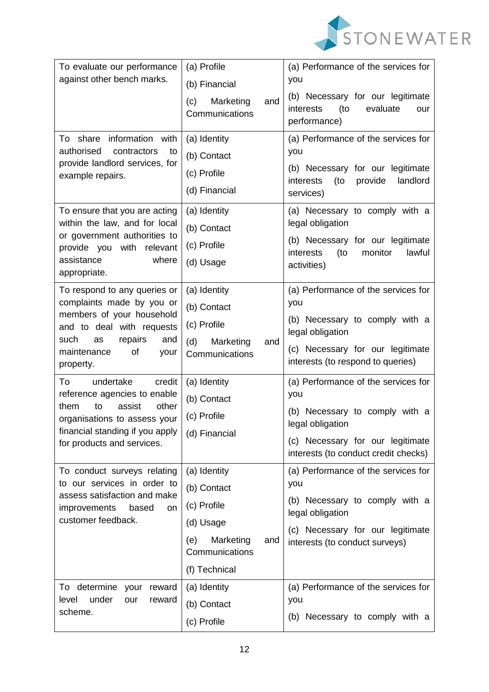

| To evaluate our performance<br>against other bench marks.                                                                                                                                                                                                                                   | (a) Profile<br>(b) Financial                                                                                           | (a) Performance of the services for<br>you                                                                                                                                                                              |
|---------------------------------------------------------------------------------------------------------------------------------------------------------------------------------------------------------------------------------------------------------------------------------------------|------------------------------------------------------------------------------------------------------------------------|-------------------------------------------------------------------------------------------------------------------------------------------------------------------------------------------------------------------------|
|                                                                                                                                                                                                                                                                                             | Marketing<br>(c)<br>and<br>Communications                                                                              | (b) Necessary for our legitimate<br>(to<br>evaluate<br>interests<br>our<br>performance)                                                                                                                                 |
| information with<br>To<br>share<br>authorised<br>contractors<br>to<br>provide landlord services, for<br>example repairs.                                                                                                                                                                    | (a) Identity<br>(b) Contact<br>(c) Profile<br>(d) Financial                                                            | (a) Performance of the services for<br>you<br>(b) Necessary for our legitimate<br>landlord<br>interests<br>(to<br>provide<br>services)                                                                                  |
| To ensure that you are acting<br>within the law, and for local<br>or government authorities to<br>with<br>provide you<br>relevant<br>assistance<br>where<br>appropriate.                                                                                                                    | (a) Identity<br>(b) Contact<br>(c) Profile<br>(d) Usage                                                                | (a) Necessary to comply with a<br>legal obligation<br>(b) Necessary for our legitimate<br>(to<br>monitor<br>lawful<br>interests<br>activities)                                                                          |
| To respond to any queries or<br>complaints made by you or<br>members of your household<br>and to deal with requests<br>such<br>repairs<br>and<br>as<br>maintenance<br>of<br>your<br>property.<br>To<br>undertake<br>credit<br>reference agencies to enable<br>other<br>them<br>to<br>assist | (a) Identity<br>(b) Contact<br>(c) Profile<br>(d)<br>Marketing<br>and<br>Communications<br>(a) Identity<br>(b) Contact | (a) Performance of the services for<br>you<br>(b) Necessary to comply with a<br>legal obligation<br>(c) Necessary for our legitimate<br>interests (to respond to queries)<br>(a) Performance of the services for<br>you |
| organisations to assess your<br>financial standing if you apply<br>for products and services.                                                                                                                                                                                               | (c) Profile<br>(d) Financial                                                                                           | (b) Necessary to comply with a<br>legal obligation<br>(c) Necessary for our legitimate<br>interests (to conduct credit checks)                                                                                          |
| To conduct surveys relating<br>to our services in order to<br>assess satisfaction and make<br>improvements<br>based<br>on<br>customer feedback.                                                                                                                                             | (a) Identity<br>(b) Contact<br>(c) Profile<br>(d) Usage<br>(e)<br>Marketing<br>and<br>Communications<br>(f) Technical  | (a) Performance of the services for<br>you<br>(b) Necessary to comply with a<br>legal obligation<br>(c) Necessary for our legitimate<br>interests (to conduct surveys)                                                  |
| To determine<br>reward<br>your<br>under<br>level<br>our<br>reward<br>scheme.                                                                                                                                                                                                                | (a) Identity<br>(b) Contact<br>(c) Profile                                                                             | (a) Performance of the services for<br>you<br>(b) Necessary to comply with a                                                                                                                                            |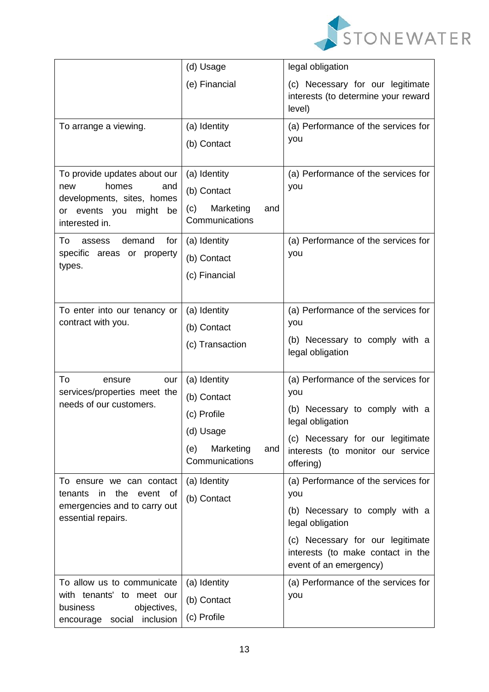

|                                                                                                                                                                                                 | (d) Usage                                                                                               | legal obligation                                                                                                                                                                                    |
|-------------------------------------------------------------------------------------------------------------------------------------------------------------------------------------------------|---------------------------------------------------------------------------------------------------------|-----------------------------------------------------------------------------------------------------------------------------------------------------------------------------------------------------|
|                                                                                                                                                                                                 | (e) Financial                                                                                           | (c) Necessary for our legitimate<br>interests (to determine your reward<br>level)                                                                                                                   |
| To arrange a viewing.                                                                                                                                                                           | (a) Identity<br>(b) Contact                                                                             | (a) Performance of the services for<br>you                                                                                                                                                          |
| To provide updates about our<br>homes<br>new<br>and<br>developments, sites, homes<br>or events you<br>might be<br>interested in.<br>To<br>demand<br>for<br>assess<br>specific areas or property | (a) Identity<br>(b) Contact<br>Marketing<br>(c)<br>and<br>Communications<br>(a) Identity<br>(b) Contact | (a) Performance of the services for<br>you<br>(a) Performance of the services for<br>you                                                                                                            |
| types.                                                                                                                                                                                          | (c) Financial                                                                                           |                                                                                                                                                                                                     |
| To enter into our tenancy or<br>contract with you.                                                                                                                                              | (a) Identity<br>(b) Contact<br>(c) Transaction                                                          | (a) Performance of the services for<br>you<br>(b) Necessary to comply with a<br>legal obligation                                                                                                    |
| To<br>ensure<br>our<br>services/properties meet the<br>needs of our customers.                                                                                                                  | (a) Identity<br>(b) Contact<br>(c) Profile<br>(d) Usage<br>(e)<br>Marketing<br>and<br>Communications    | (a) Performance of the services for<br>you<br>(b) Necessary to comply with a<br>legal obligation<br>(c) Necessary for our legitimate<br>interests (to monitor our service<br>offering)              |
| To ensure we can contact<br>the<br>tenants<br>event of<br>in.<br>emergencies and to carry out<br>essential repairs.                                                                             | (a) Identity<br>(b) Contact                                                                             | (a) Performance of the services for<br>you<br>(b) Necessary to comply with a<br>legal obligation<br>(c) Necessary for our legitimate<br>interests (to make contact in the<br>event of an emergency) |
| To allow us to communicate<br>with tenants' to meet our<br>business<br>objectives,<br>encourage social inclusion                                                                                | (a) Identity<br>(b) Contact<br>(c) Profile                                                              | (a) Performance of the services for<br>you                                                                                                                                                          |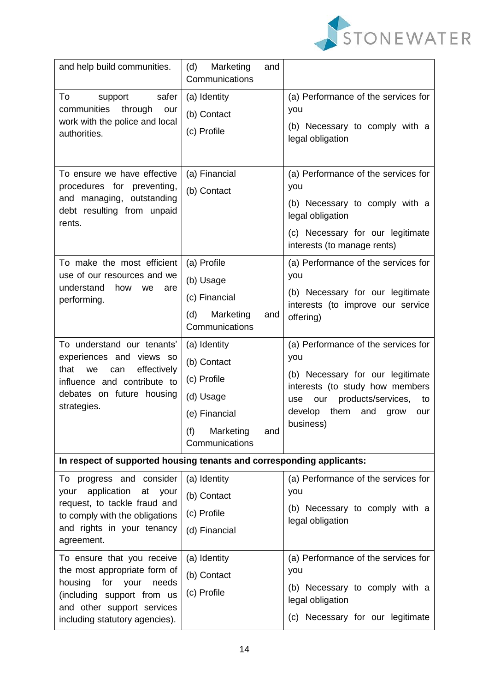

| and help build communities.                                                                                                                                                                 | (d)<br>Marketing<br>and<br>Communications                                                                             |                                                                                                                                                                                                                   |
|---------------------------------------------------------------------------------------------------------------------------------------------------------------------------------------------|-----------------------------------------------------------------------------------------------------------------------|-------------------------------------------------------------------------------------------------------------------------------------------------------------------------------------------------------------------|
| To<br>safer<br>support<br>communities<br>through<br>our<br>work with the police and local<br>authorities.                                                                                   | (a) Identity<br>(b) Contact<br>(c) Profile                                                                            | (a) Performance of the services for<br>you<br>(b) Necessary to comply with a<br>legal obligation                                                                                                                  |
| To ensure we have effective<br>procedures for preventing,<br>and managing, outstanding<br>debt resulting from unpaid<br>rents.                                                              | (a) Financial<br>(b) Contact                                                                                          | (a) Performance of the services for<br>you<br>(b) Necessary to comply with a<br>legal obligation<br>(c) Necessary for our legitimate<br>interests (to manage rents)                                               |
| To make the most efficient<br>use of our resources and we<br>understand<br>how<br>we<br>are<br>performing.                                                                                  | (a) Profile<br>(b) Usage<br>(c) Financial<br>Marketing<br>(d)<br>and<br>Communications                                | (a) Performance of the services for<br>you<br>(b) Necessary for our legitimate<br>interests (to improve our service<br>offering)                                                                                  |
| To understand our tenants'<br>experiences and views so<br>effectively<br>that<br>we<br>can<br>influence and contribute to<br>debates on future housing<br>strategies.                       | (a) Identity<br>(b) Contact<br>(c) Profile<br>(d) Usage<br>(e) Financial<br>(f)<br>Marketing<br>and<br>Communications | (a) Performance of the services for<br>you<br>(b) Necessary for our legitimate<br>interests (to study how members<br>products/services,<br>our<br>use<br>to<br>them<br>develop<br>and<br>grow<br>our<br>business) |
| In respect of supported housing tenants and corresponding applicants:                                                                                                                       |                                                                                                                       |                                                                                                                                                                                                                   |
| To progress and consider<br>application<br>at<br>your<br>your<br>request, to tackle fraud and<br>to comply with the obligations<br>and rights in your tenancy<br>agreement.                 | (a) Identity<br>(b) Contact<br>(c) Profile<br>(d) Financial                                                           | (a) Performance of the services for<br>you<br>(b) Necessary to comply with a<br>legal obligation                                                                                                                  |
| To ensure that you receive<br>the most appropriate form of<br>housing<br>for<br>your<br>needs<br>(including support from us<br>and other support services<br>including statutory agencies). | (a) Identity<br>(b) Contact<br>(c) Profile                                                                            | (a) Performance of the services for<br>you<br>(b) Necessary to comply with a<br>legal obligation<br>(c) Necessary for our legitimate                                                                              |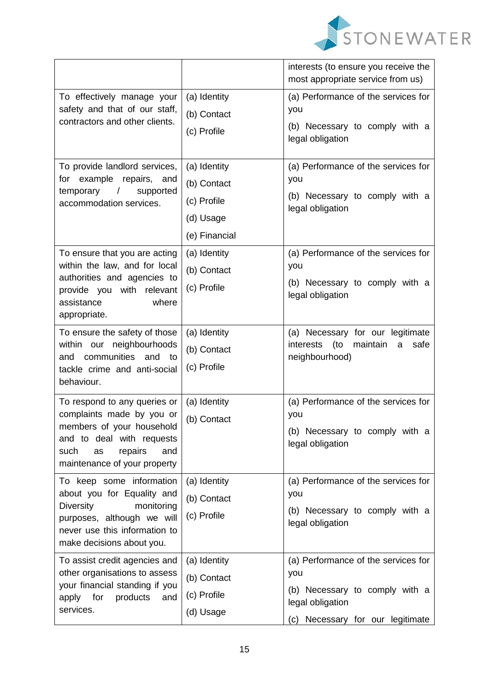

|                                                                                                                                                                                      |                                                                          | interests (to ensure you receive the<br>most appropriate service from us)                                                            |
|--------------------------------------------------------------------------------------------------------------------------------------------------------------------------------------|--------------------------------------------------------------------------|--------------------------------------------------------------------------------------------------------------------------------------|
| To effectively manage your<br>safety and that of our staff,<br>contractors and other clients.                                                                                        | (a) Identity<br>(b) Contact<br>(c) Profile                               | (a) Performance of the services for<br>you<br>(b) Necessary to comply with a<br>legal obligation                                     |
| To provide landlord services,<br>example<br>repairs,<br>for<br>and<br>temporary<br>$\sqrt{ }$<br>supported<br>accommodation services.                                                | (a) Identity<br>(b) Contact<br>(c) Profile<br>(d) Usage<br>(e) Financial | (a) Performance of the services for<br>you<br>(b) Necessary to comply with a<br>legal obligation                                     |
| To ensure that you are acting<br>within the law, and for local<br>authorities and agencies to<br>provide you with relevant<br>assistance<br>where<br>appropriate.                    | (a) Identity<br>(b) Contact<br>(c) Profile                               | (a) Performance of the services for<br>you<br>(b) Necessary to comply with a<br>legal obligation                                     |
| To ensure the safety of those<br>within our neighbourhoods<br>communities<br>and<br>and<br>to<br>tackle crime and anti-social<br>behaviour.                                          | (a) Identity<br>(b) Contact<br>(c) Profile                               | (a) Necessary for our legitimate<br>(to<br>maintain<br>interests<br>safe<br>a<br>neighbourhood)                                      |
| To respond to any queries or<br>complaints made by you or<br>members of your household<br>and to deal with requests<br>repairs<br>and<br>such<br>as<br>maintenance of your property  | (a) Identity<br>(b) Contact                                              | (a) Performance of the services for<br>you<br>(b) Necessary to comply with a<br>legal obligation                                     |
| To keep some information<br>about you for Equality and<br><b>Diversity</b><br>monitoring<br>purposes, although we will<br>never use this information to<br>make decisions about you. | (a) Identity<br>(b) Contact<br>(c) Profile                               | (a) Performance of the services for<br>you<br>(b) Necessary to comply with a<br>legal obligation                                     |
| To assist credit agencies and<br>other organisations to assess<br>your financial standing if you<br>apply for<br>products<br>and<br>services.                                        | (a) Identity<br>(b) Contact<br>(c) Profile<br>(d) Usage                  | (a) Performance of the services for<br>you<br>(b) Necessary to comply with a<br>legal obligation<br>(c) Necessary for our legitimate |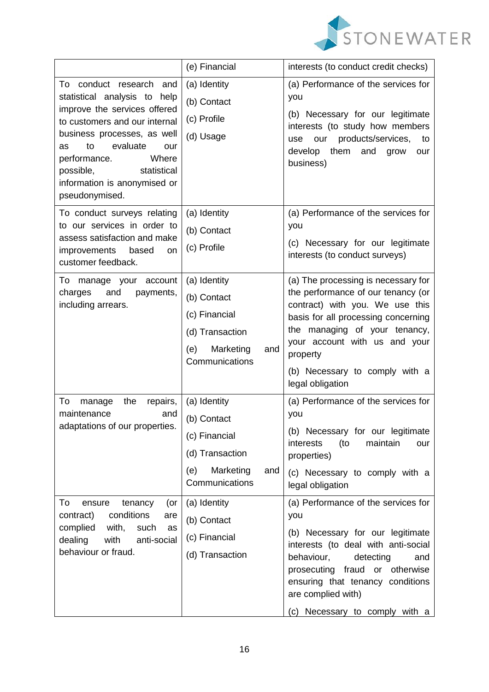

|                                                                                                                                                                                                                                                                                               | (e) Financial                                                                                                | interests (to conduct credit checks)                                                                                                                                                                                                                                                    |
|-----------------------------------------------------------------------------------------------------------------------------------------------------------------------------------------------------------------------------------------------------------------------------------------------|--------------------------------------------------------------------------------------------------------------|-----------------------------------------------------------------------------------------------------------------------------------------------------------------------------------------------------------------------------------------------------------------------------------------|
| To conduct research and<br>statistical analysis to help<br>improve the services offered<br>to customers and our internal<br>business processes, as well<br>evaluate<br>to<br>as<br>our<br>performance.<br>Where<br>possible,<br>statistical<br>information is anonymised or<br>pseudonymised. | (a) Identity<br>(b) Contact<br>(c) Profile<br>(d) Usage                                                      | (a) Performance of the services for<br>you<br>(b) Necessary for our legitimate<br>interests (to study how members<br>products/services,<br>our<br>use<br>to<br>them<br>develop<br>and<br>grow<br>our<br>business)                                                                       |
| To conduct surveys relating<br>to our services in order to<br>assess satisfaction and make<br>improvements<br>based<br>on.<br>customer feedback.                                                                                                                                              | (a) Identity<br>(b) Contact<br>(c) Profile                                                                   | (a) Performance of the services for<br>you<br>(c) Necessary for our legitimate<br>interests (to conduct surveys)                                                                                                                                                                        |
| To manage your account<br>charges<br>and<br>payments,<br>including arrears.                                                                                                                                                                                                                   | (a) Identity<br>(b) Contact<br>(c) Financial<br>(d) Transaction<br>Marketing<br>(e)<br>and<br>Communications | (a) The processing is necessary for<br>the performance of our tenancy (or<br>contract) with you. We use this<br>basis for all processing concerning<br>the managing of your tenancy,<br>your account with us and your<br>property<br>(b) Necessary to comply with a<br>legal obligation |
| To<br>manage<br>the<br>repairs,<br>maintenance<br>and<br>adaptations of our properties.                                                                                                                                                                                                       | (a) Identity<br>(b) Contact<br>(c) Financial<br>(d) Transaction<br>Marketing<br>(e)<br>and<br>Communications | (a) Performance of the services for<br>you<br>(b) Necessary for our legitimate<br>(to<br>maintain<br>interests<br>our<br>properties)<br>(c) Necessary to comply with a<br>legal obligation                                                                                              |
| To<br>tenancy<br>(or<br>ensure<br>conditions<br>contract)<br>are<br>complied<br>with,<br>such<br>as<br>dealing<br>with<br>anti-social<br>behaviour or fraud.                                                                                                                                  | (a) Identity<br>(b) Contact<br>(c) Financial<br>(d) Transaction                                              | (a) Performance of the services for<br>you<br>(b) Necessary for our legitimate<br>interests (to deal with anti-social<br>behaviour,<br>detecting<br>and<br>prosecuting fraud or otherwise<br>ensuring that tenancy conditions<br>are complied with)<br>(c) Necessary to comply with a   |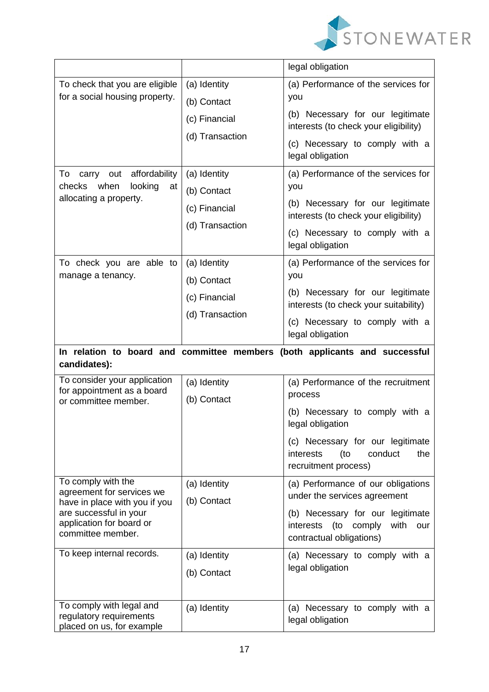

|                                                                                                                                                             |                                                                 | legal obligation                                                                                                                                                              |
|-------------------------------------------------------------------------------------------------------------------------------------------------------------|-----------------------------------------------------------------|-------------------------------------------------------------------------------------------------------------------------------------------------------------------------------|
| To check that you are eligible<br>for a social housing property.                                                                                            | (a) Identity<br>(b) Contact<br>(c) Financial<br>(d) Transaction | (a) Performance of the services for<br>you<br>(b) Necessary for our legitimate<br>interests (to check your eligibility)<br>(c) Necessary to comply with a<br>legal obligation |
| affordability<br>To<br>carry<br>out<br>when<br>looking<br>checks<br>at<br>allocating a property.                                                            | (a) Identity<br>(b) Contact<br>(c) Financial<br>(d) Transaction | (a) Performance of the services for<br>you<br>(b) Necessary for our legitimate<br>interests (to check your eligibility)<br>(c) Necessary to comply with a<br>legal obligation |
| To check you are able to<br>manage a tenancy.                                                                                                               | (a) Identity<br>(b) Contact<br>(c) Financial<br>(d) Transaction | (a) Performance of the services for<br>you<br>(b) Necessary for our legitimate<br>interests (to check your suitability)<br>(c) Necessary to comply with a<br>legal obligation |
| In relation to board and committee members (both applicants and successful                                                                                  |                                                                 |                                                                                                                                                                               |
| candidates):                                                                                                                                                |                                                                 |                                                                                                                                                                               |
| To consider your application<br>for appointment as a board<br>or committee member.                                                                          | (a) Identity<br>(b) Contact                                     | (a) Performance of the recruitment<br>process<br>(b) Necessary to comply with a<br>legal obligation                                                                           |
|                                                                                                                                                             |                                                                 | (c) Necessary for our legitimate<br>conduct<br>the<br>interests<br>(to<br>recruitment process)                                                                                |
| To comply with the<br>agreement for services we<br>have in place with you if you<br>are successful in your<br>application for board or<br>committee member. | (a) Identity<br>(b) Contact                                     | (a) Performance of our obligations<br>under the services agreement<br>(b) Necessary for our legitimate<br>interests (to comply<br>with<br>our<br>contractual obligations)     |
| To keep internal records.                                                                                                                                   | (a) Identity<br>(b) Contact                                     | (a) Necessary to comply with a<br>legal obligation                                                                                                                            |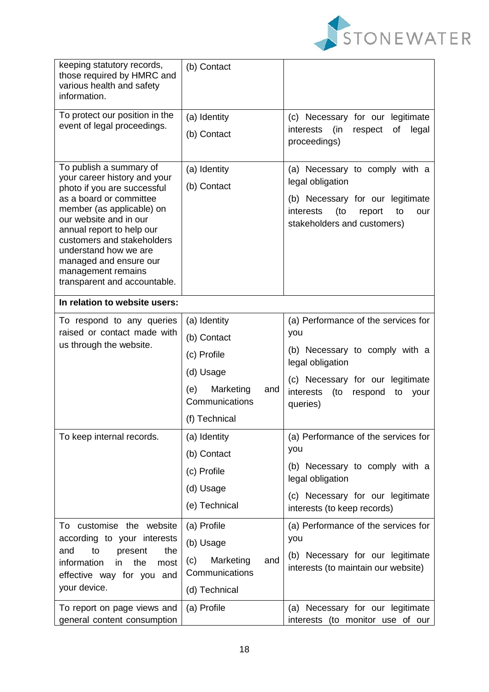

| keeping statutory records,<br>those required by HMRC and<br>various health and safety<br>information. | (b) Contact             |                                                                                  |
|-------------------------------------------------------------------------------------------------------|-------------------------|----------------------------------------------------------------------------------|
| To protect our position in the                                                                        | (a) Identity            | (c) Necessary for our legitimate                                                 |
| event of legal proceedings.                                                                           | (b) Contact             | (in<br>of<br>legal<br>interests<br>respect<br>proceedings)                       |
| To publish a summary of                                                                               | (a) Identity            | (a) Necessary to comply with a                                                   |
| your career history and your<br>photo if you are successful                                           | (b) Contact             | legal obligation                                                                 |
| as a board or committee<br>member (as applicable) on                                                  |                         | (b) Necessary for our legitimate<br>interests<br>(to<br>to<br>report<br>our      |
| our website and in our<br>annual report to help our                                                   |                         | stakeholders and customers)                                                      |
| customers and stakeholders                                                                            |                         |                                                                                  |
| understand how we are<br>managed and ensure our                                                       |                         |                                                                                  |
| management remains<br>transparent and accountable.                                                    |                         |                                                                                  |
| In relation to website users:                                                                         |                         |                                                                                  |
| To respond to any queries                                                                             | (a) Identity            | (a) Performance of the services for                                              |
| raised or contact made with                                                                           | (b) Contact             | you                                                                              |
| us through the website.                                                                               | (c) Profile             | (b) Necessary to comply with a                                                   |
|                                                                                                       | (d) Usage               | legal obligation                                                                 |
|                                                                                                       | Marketing<br>(e)<br>and | (c) Necessary for our legitimate<br>$($ to<br>interests<br>respond<br>to<br>your |
|                                                                                                       | Communications          | queries)                                                                         |
|                                                                                                       | (f) Technical           |                                                                                  |
| To keep internal records.                                                                             | (a) Identity            | (a) Performance of the services for                                              |
|                                                                                                       | (b) Contact             | you                                                                              |
|                                                                                                       | (c) Profile             | (b) Necessary to comply with a<br>legal obligation                               |
|                                                                                                       | (d) Usage               | (c) Necessary for our legitimate                                                 |
|                                                                                                       | (e) Technical           | interests (to keep records)                                                      |
| To customise the website                                                                              | (a) Profile             | (a) Performance of the services for                                              |
| according to your interests<br>to<br>the<br>and<br>present                                            | (b) Usage               | you                                                                              |
| information<br>the<br>in<br>most                                                                      | Marketing<br>(c)<br>and | (b) Necessary for our legitimate<br>interests (to maintain our website)          |
| effective way for you and<br>your device.                                                             | Communications          |                                                                                  |
|                                                                                                       | (d) Technical           |                                                                                  |
| To report on page views and<br>general content consumption                                            | (a) Profile             | (a) Necessary for our legitimate<br>interests (to monitor use of our             |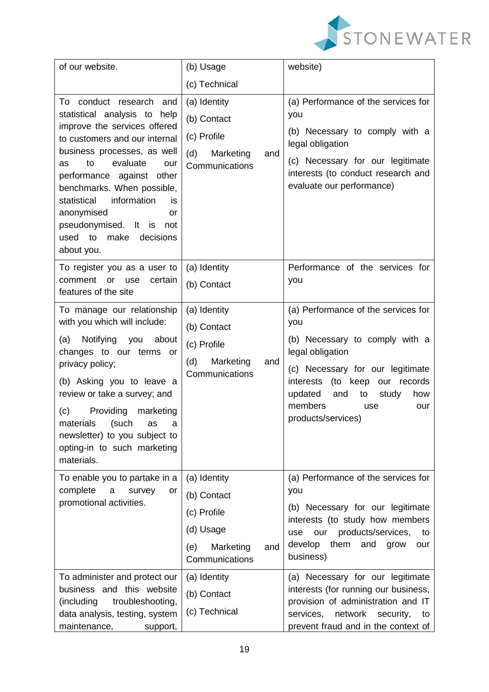

| of our website.                                                                                                                                                                                                                                                                                                                                                                           | (b) Usage                                                                                            | website)                                                                                                                                                                                                                                                      |
|-------------------------------------------------------------------------------------------------------------------------------------------------------------------------------------------------------------------------------------------------------------------------------------------------------------------------------------------------------------------------------------------|------------------------------------------------------------------------------------------------------|---------------------------------------------------------------------------------------------------------------------------------------------------------------------------------------------------------------------------------------------------------------|
|                                                                                                                                                                                                                                                                                                                                                                                           | (c) Technical                                                                                        |                                                                                                                                                                                                                                                               |
| conduct research and<br>To<br>statistical analysis to help<br>improve the services offered<br>to customers and our internal<br>business processes, as well<br>to<br>evaluate<br>as<br>our<br>performance against other<br>benchmarks. When possible,<br>information<br>statistical<br>is<br>anonymised<br>or<br>pseudonymised. It is<br>not<br>used to<br>make<br>decisions<br>about you. | (a) Identity<br>(b) Contact<br>(c) Profile<br>(d)<br>Marketing<br>and<br>Communications              | (a) Performance of the services for<br>you<br>(b) Necessary to comply with a<br>legal obligation<br>(c) Necessary for our legitimate<br>interests (to conduct research and<br>evaluate our performance)                                                       |
| To register you as a user to<br>comment<br>certain<br>or<br>use<br>features of the site                                                                                                                                                                                                                                                                                                   | (a) Identity<br>(b) Contact                                                                          | Performance of the services for<br>you                                                                                                                                                                                                                        |
| To manage our relationship<br>with you which will include:<br>Notifying<br>you<br>about<br>(a)<br>changes to our terms or<br>privacy policy;<br>(b) Asking you to leave a<br>review or take a survey; and<br>Providing<br>(c)<br>marketing<br>materials<br>(such<br>as<br>a<br>newsletter) to you subject to<br>opting-in to such marketing<br>materials.                                 | (a) Identity<br>(b) Contact<br>(c) Profile<br>Marketing<br>(d)<br>and<br>Communications              | (a) Performance of the services for<br>you<br>(b) Necessary to comply with a<br>legal obligation<br>(c) Necessary for our legitimate<br>interests (to keep our records<br>updated<br>and<br>to<br>study<br>how<br>members<br>use<br>our<br>products/services) |
| To enable you to partake in a<br>complete<br>a<br>survey<br>or<br>promotional activities.                                                                                                                                                                                                                                                                                                 | (a) Identity<br>(b) Contact<br>(c) Profile<br>(d) Usage<br>Marketing<br>(e)<br>and<br>Communications | (a) Performance of the services for<br>you<br>(b) Necessary for our legitimate<br>interests (to study how members<br>our products/services,<br>use<br>to<br>develop<br>them and<br>grow<br>our<br>business)                                                   |
| To administer and protect our<br>business and this website<br>(including<br>troubleshooting,<br>data analysis, testing, system<br>maintenance,<br>support,                                                                                                                                                                                                                                | (a) Identity<br>(b) Contact<br>(c) Technical                                                         | (a) Necessary for our legitimate<br>interests (for running our business,<br>provision of administration and IT<br>network security,<br>services,<br>to<br>prevent fraud and in the context of                                                                 |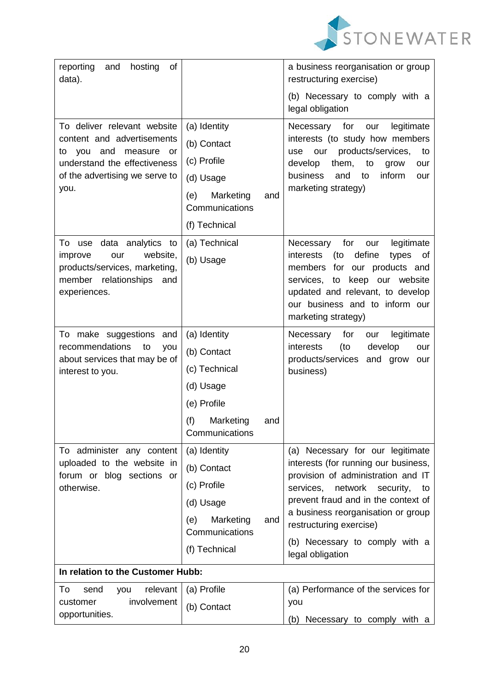

| reporting<br>of<br>and<br>hosting<br>data).                       |                                           | a business reorganisation or group<br>restructuring exercise)                   |
|-------------------------------------------------------------------|-------------------------------------------|---------------------------------------------------------------------------------|
|                                                                   |                                           | (b) Necessary to comply with a<br>legal obligation                              |
| To deliver relevant website                                       | (a) Identity                              | legitimate<br>Necessary<br>for<br>our                                           |
| content and advertisements                                        | (b) Contact                               | interests (to study how members                                                 |
| and<br>measure<br>you<br>to<br>or<br>understand the effectiveness | (c) Profile                               | products/services,<br>our<br>to<br>use<br>them,<br>develop<br>to<br>grow<br>our |
| of the advertising we serve to                                    | (d) Usage                                 | business<br>inform<br>and<br>to<br>our                                          |
| you.                                                              | Marketing<br>(e)<br>and<br>Communications | marketing strategy)                                                             |
|                                                                   | (f) Technical                             |                                                                                 |
| data analytics<br>To use<br>to                                    | (a) Technical                             | for<br>legitimate<br>Necessary<br>our                                           |
| website,<br>improve<br>our<br>products/services, marketing,       | (b) Usage                                 | define<br>interests<br>(to<br>types<br>οf<br>our products and<br>members<br>for |
| member relationships<br>and                                       |                                           | services,<br>keep our website<br>to                                             |
| experiences.                                                      |                                           | updated and relevant, to develop<br>our business and to inform our              |
|                                                                   |                                           | marketing strategy)                                                             |
| To make suggestions and                                           | (a) Identity                              | for<br>Necessary<br>legitimate<br>our                                           |
| recommendations<br>to<br>you<br>about services that may be of     | (b) Contact                               | interests<br>(to<br>develop<br>our<br>products/services<br>and grow<br>our      |
| interest to you.                                                  | (c) Technical                             | business)                                                                       |
|                                                                   | (d) Usage                                 |                                                                                 |
|                                                                   | (e) Profile                               |                                                                                 |
|                                                                   | (f)<br>Marketing<br>and<br>Communications |                                                                                 |
| To administer any content                                         | (a) Identity                              | (a) Necessary for our legitimate                                                |
| uploaded to the website in<br>forum or blog sections or           | (b) Contact                               | interests (for running our business,<br>provision of administration and IT      |
| otherwise.                                                        | (c) Profile                               | network<br>services,<br>security,<br>to                                         |
|                                                                   | (d) Usage                                 | prevent fraud and in the context of                                             |
|                                                                   | Marketing<br>(e)<br>and<br>Communications | a business reorganisation or group<br>restructuring exercise)                   |
|                                                                   | (f) Technical                             | (b) Necessary to comply with a<br>legal obligation                              |
| In relation to the Customer Hubb:                                 |                                           |                                                                                 |
| To<br>relevant<br>send<br>you                                     | (a) Profile                               | (a) Performance of the services for                                             |
| involvement<br>customer                                           | (b) Contact                               | you                                                                             |
| opportunities.                                                    |                                           | (b) Necessary to comply with a                                                  |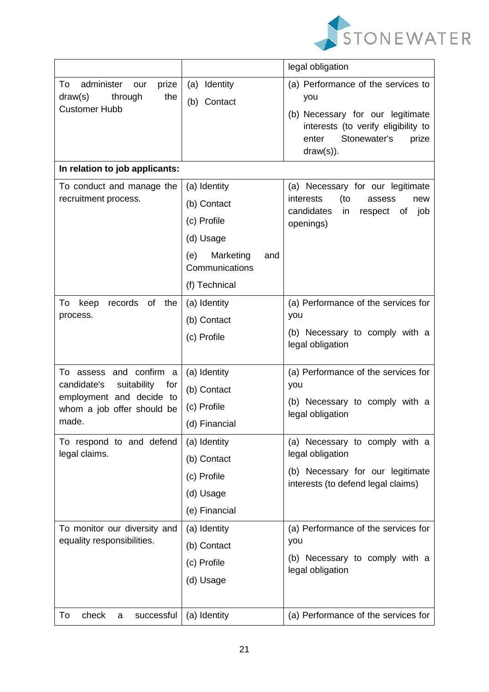

|                                                                                                                                 |                                                                                                                       | legal obligation                                                                                                                                                       |
|---------------------------------------------------------------------------------------------------------------------------------|-----------------------------------------------------------------------------------------------------------------------|------------------------------------------------------------------------------------------------------------------------------------------------------------------------|
| To<br>administer<br>prize<br>our<br>draw(s)<br>through<br>the<br><b>Customer Hubb</b>                                           | (a) Identity<br>(b) Contact                                                                                           | (a) Performance of the services to<br>you<br>(b) Necessary for our legitimate<br>interests (to verify eligibility to<br>Stonewater's<br>enter<br>prize<br>$draw(s))$ . |
| In relation to job applicants:                                                                                                  |                                                                                                                       |                                                                                                                                                                        |
| To conduct and manage the<br>recruitment process.                                                                               | (a) Identity<br>(b) Contact<br>(c) Profile<br>(d) Usage<br>Marketing<br>(e)<br>and<br>Communications<br>(f) Technical | (a) Necessary for our legitimate<br>interests<br>(to<br>assess<br>new<br>candidates<br>job<br>in<br>respect<br>οf<br>openings)                                         |
| records<br>of<br>the<br>To<br>keep<br>process.                                                                                  | (a) Identity<br>(b) Contact<br>(c) Profile                                                                            | (a) Performance of the services for<br>you<br>(b) Necessary to comply with a<br>legal obligation                                                                       |
| To assess and confirm a<br>suitability<br>candidate's<br>for<br>employment and decide to<br>whom a job offer should be<br>made. | (a) Identity<br>(b) Contact<br>(c) Profile<br>(d) Financial                                                           | (a) Performance of the services for<br>you<br>(b) Necessary to comply with a<br>legal obligation                                                                       |
| To respond to and defend<br>legal claims.                                                                                       | (a) Identity<br>(b) Contact<br>(c) Profile<br>(d) Usage<br>(e) Financial                                              | (a) Necessary to comply with a<br>legal obligation<br>(b) Necessary for our legitimate<br>interests (to defend legal claims)                                           |
| To monitor our diversity and<br>equality responsibilities.                                                                      | (a) Identity<br>(b) Contact<br>(c) Profile<br>(d) Usage                                                               | (a) Performance of the services for<br>you<br>(b) Necessary to comply with a<br>legal obligation                                                                       |
| check<br>To<br>successful<br>a                                                                                                  | (a) Identity                                                                                                          | (a) Performance of the services for                                                                                                                                    |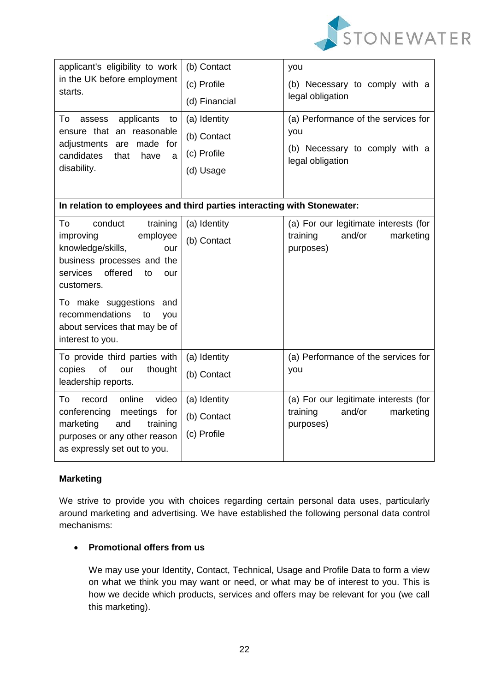

| applicant's eligibility to work<br>in the UK before employment<br>starts.                                                                   | (b) Contact   | you                                                       |  |  |
|---------------------------------------------------------------------------------------------------------------------------------------------|---------------|-----------------------------------------------------------|--|--|
|                                                                                                                                             | (c) Profile   | (b) Necessary to comply with a<br>legal obligation        |  |  |
|                                                                                                                                             | (d) Financial |                                                           |  |  |
| applicants<br>To<br>assess<br>to<br>ensure that an reasonable<br>adjustments are made for<br>candidates<br>that<br>have<br>a<br>disability. | (a) Identity  | (a) Performance of the services for                       |  |  |
|                                                                                                                                             | (b) Contact   | you<br>(b) Necessary to comply with a<br>legal obligation |  |  |
|                                                                                                                                             | (c) Profile   |                                                           |  |  |
|                                                                                                                                             | (d) Usage     |                                                           |  |  |
|                                                                                                                                             |               |                                                           |  |  |
| In relation to employees and third parties interacting with Stonewater:                                                                     |               |                                                           |  |  |
| To<br>conduct<br>training                                                                                                                   | (a) Identity  | (a) For our legitimate interests (for                     |  |  |
| employee<br>improving<br>knowledge/skills,<br>our                                                                                           | (b) Contact   | and/or<br>training<br>marketing                           |  |  |
| business processes and the                                                                                                                  |               | purposes)                                                 |  |  |
| offered<br>services<br>to<br>our                                                                                                            |               |                                                           |  |  |
| customers.                                                                                                                                  |               |                                                           |  |  |
| To make suggestions<br>and                                                                                                                  |               |                                                           |  |  |
| recommendations<br>to<br>you                                                                                                                |               |                                                           |  |  |
| about services that may be of<br>interest to you.                                                                                           |               |                                                           |  |  |
| To provide third parties with                                                                                                               | (a) Identity  | (a) Performance of the services for                       |  |  |
| of<br>copies<br>our<br>thought                                                                                                              | (b) Contact   | you                                                       |  |  |
| leadership reports.                                                                                                                         |               |                                                           |  |  |
| record<br>online<br>video<br>To                                                                                                             | (a) Identity  | (a) For our legitimate interests (for                     |  |  |
| conferencing<br>meetings<br>for<br>marketing<br>and                                                                                         | (b) Contact   | and/or<br>training<br>marketing                           |  |  |
| training<br>purposes or any other reason                                                                                                    | (c) Profile   | purposes)                                                 |  |  |
| as expressly set out to you.                                                                                                                |               |                                                           |  |  |
|                                                                                                                                             |               |                                                           |  |  |

# **Marketing**

We strive to provide you with choices regarding certain personal data uses, particularly around marketing and advertising. We have established the following personal data control mechanisms:

## **Promotional offers from us**

We may use your Identity, Contact, Technical, Usage and Profile Data to form a view on what we think you may want or need, or what may be of interest to you. This is how we decide which products, services and offers may be relevant for you (we call this marketing).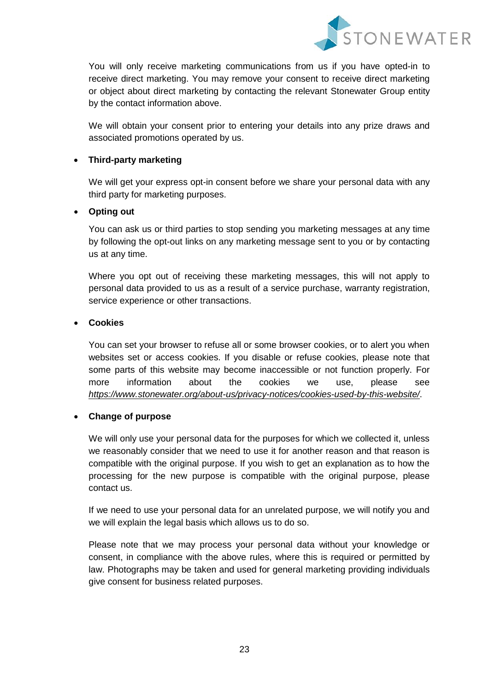

You will only receive marketing communications from us if you have opted-in to receive direct marketing. You may remove your consent to receive direct marketing or object about direct marketing by contacting the relevant Stonewater Group entity by the contact information above.

We will obtain your consent prior to entering your details into any prize draws and associated promotions operated by us.

## **Third-party marketing**

We will get your express opt-in consent before we share your personal data with any third party for marketing purposes.

## **Opting out**

You can ask us or third parties to stop sending you marketing messages at any time by following the opt-out links on any marketing message sent to you or by contacting us at any time.

Where you opt out of receiving these marketing messages, this will not apply to personal data provided to us as a result of a service purchase, warranty registration, service experience or other transactions.

## **Cookies**

You can set your browser to refuse all or some browser cookies, or to alert you when websites set or access cookies. If you disable or refuse cookies, please note that some parts of this website may become inaccessible or not function properly. For more information about the cookies we use, please see *<https://www.stonewater.org/about-us/privacy-notices/cookies-used-by-this-website/>*.

## **Change of purpose**

We will only use your personal data for the purposes for which we collected it, unless we reasonably consider that we need to use it for another reason and that reason is compatible with the original purpose. If you wish to get an explanation as to how the processing for the new purpose is compatible with the original purpose, please contact us.

If we need to use your personal data for an unrelated purpose, we will notify you and we will explain the legal basis which allows us to do so.

Please note that we may process your personal data without your knowledge or consent, in compliance with the above rules, where this is required or permitted by law. Photographs may be taken and used for general marketing providing individuals give consent for business related purposes.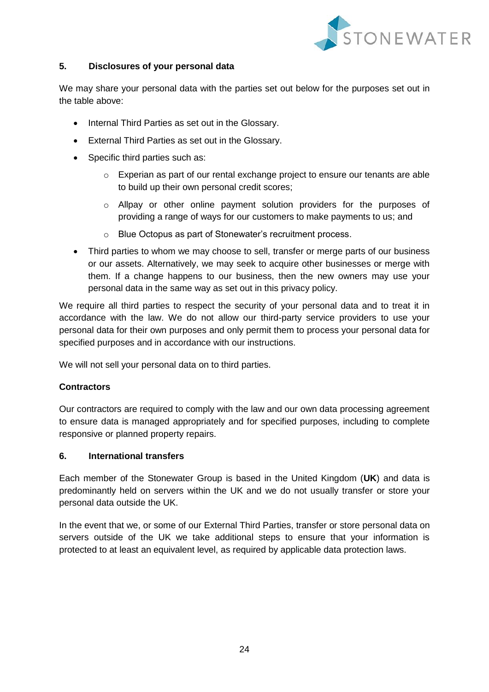

## **5. Disclosures of your personal data**

We may share your personal data with the parties set out below for the purposes set out in the table above:

- Internal Third Parties as set out in the Glossary.
- External Third Parties as set out in the Glossary.
- Specific third parties such as:
	- o Experian as part of our rental exchange project to ensure our tenants are able to build up their own personal credit scores;
	- $\circ$  Allpay or other online payment solution providers for the purposes of providing a range of ways for our customers to make payments to us; and
	- o Blue Octopus as part of Stonewater's recruitment process.
- Third parties to whom we may choose to sell, transfer or merge parts of our business or our assets. Alternatively, we may seek to acquire other businesses or merge with them. If a change happens to our business, then the new owners may use your personal data in the same way as set out in this privacy policy.

We require all third parties to respect the security of your personal data and to treat it in accordance with the law. We do not allow our third-party service providers to use your personal data for their own purposes and only permit them to process your personal data for specified purposes and in accordance with our instructions.

We will not sell your personal data on to third parties.

## **Contractors**

Our contractors are required to comply with the law and our own data processing agreement to ensure data is managed appropriately and for specified purposes, including to complete responsive or planned property repairs.

### **6. International transfers**

Each member of the Stonewater Group is based in the United Kingdom (**UK**) and data is predominantly held on servers within the UK and we do not usually transfer or store your personal data outside the UK.

In the event that we, or some of our External Third Parties, transfer or store personal data on servers outside of the UK we take additional steps to ensure that your information is protected to at least an equivalent level, as required by applicable data protection laws.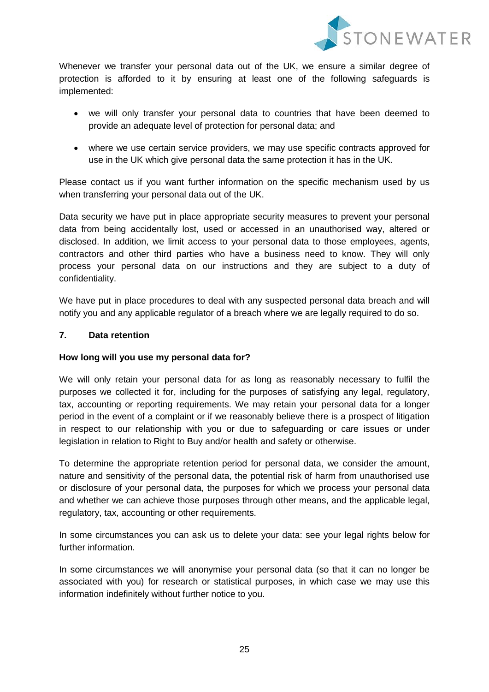

Whenever we transfer your personal data out of the UK, we ensure a similar degree of protection is afforded to it by ensuring at least one of the following safeguards is implemented:

- we will only transfer your personal data to countries that have been deemed to provide an adequate level of protection for personal data; and
- where we use certain service providers, we may use specific contracts approved for use in the UK which give personal data the same protection it has in the UK.

Please contact us if you want further information on the specific mechanism used by us when transferring your personal data out of the UK.

Data security we have put in place appropriate security measures to prevent your personal data from being accidentally lost, used or accessed in an unauthorised way, altered or disclosed. In addition, we limit access to your personal data to those employees, agents, contractors and other third parties who have a business need to know. They will only process your personal data on our instructions and they are subject to a duty of confidentiality.

We have put in place procedures to deal with any suspected personal data breach and will notify you and any applicable regulator of a breach where we are legally required to do so.

## **7. Data retention**

## **How long will you use my personal data for?**

We will only retain your personal data for as long as reasonably necessary to fulfil the purposes we collected it for, including for the purposes of satisfying any legal, regulatory, tax, accounting or reporting requirements. We may retain your personal data for a longer period in the event of a complaint or if we reasonably believe there is a prospect of litigation in respect to our relationship with you or due to safeguarding or care issues or under legislation in relation to Right to Buy and/or health and safety or otherwise.

To determine the appropriate retention period for personal data, we consider the amount, nature and sensitivity of the personal data, the potential risk of harm from unauthorised use or disclosure of your personal data, the purposes for which we process your personal data and whether we can achieve those purposes through other means, and the applicable legal, regulatory, tax, accounting or other requirements.

In some circumstances you can ask us to delete your data: see your legal rights below for further information.

In some circumstances we will anonymise your personal data (so that it can no longer be associated with you) for research or statistical purposes, in which case we may use this information indefinitely without further notice to you.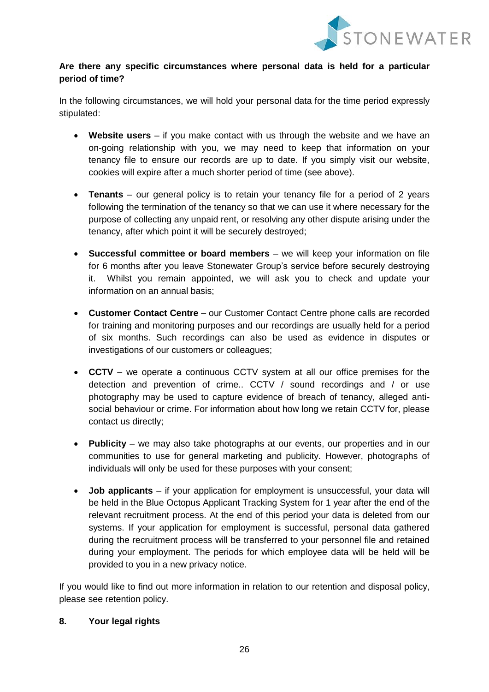

# **Are there any specific circumstances where personal data is held for a particular period of time?**

In the following circumstances, we will hold your personal data for the time period expressly stipulated:

- **Website users** if you make contact with us through the website and we have an on-going relationship with you, we may need to keep that information on your tenancy file to ensure our records are up to date. If you simply visit our website, cookies will expire after a much shorter period of time (see above).
- **Tenants** our general policy is to retain your tenancy file for a period of 2 years following the termination of the tenancy so that we can use it where necessary for the purpose of collecting any unpaid rent, or resolving any other dispute arising under the tenancy, after which point it will be securely destroyed;
- **Successful committee or board members** we will keep your information on file for 6 months after you leave Stonewater Group's service before securely destroying it. Whilst you remain appointed, we will ask you to check and update your information on an annual basis;
- **Customer Contact Centre** our Customer Contact Centre phone calls are recorded for training and monitoring purposes and our recordings are usually held for a period of six months. Such recordings can also be used as evidence in disputes or investigations of our customers or colleagues;
- **CCTV** we operate a continuous CCTV system at all our office premises for the detection and prevention of crime.. CCTV / sound recordings and / or use photography may be used to capture evidence of breach of tenancy, alleged antisocial behaviour or crime. For information about how long we retain CCTV for, please contact us directly;
- **Publicity** we may also take photographs at our events, our properties and in our communities to use for general marketing and publicity. However, photographs of individuals will only be used for these purposes with your consent;
- **Job applicants** if your application for employment is unsuccessful, your data will be held in the Blue Octopus Applicant Tracking System for 1 year after the end of the relevant recruitment process. At the end of this period your data is deleted from our systems. If your application for employment is successful, personal data gathered during the recruitment process will be transferred to your personnel file and retained during your employment. The periods for which employee data will be held will be provided to you in a new privacy notice.

If you would like to find out more information in relation to our retention and disposal policy, please see retention policy.

## **8. Your legal rights**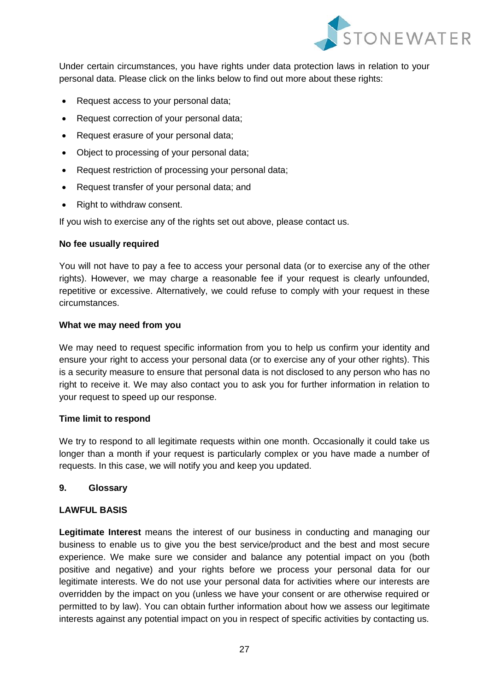

Under certain circumstances, you have rights under data protection laws in relation to your personal data. Please click on the links below to find out more about these rights:

- Request access to your personal data;
- Request correction of your personal data;
- Request erasure of your personal data;
- Object to processing of your personal data;
- Request restriction of processing your personal data;
- Request transfer of your personal data; and
- Right to withdraw consent.

If you wish to exercise any of the rights set out above, please contact us.

### **No fee usually required**

You will not have to pay a fee to access your personal data (or to exercise any of the other rights). However, we may charge a reasonable fee if your request is clearly unfounded, repetitive or excessive. Alternatively, we could refuse to comply with your request in these circumstances.

### **What we may need from you**

We may need to request specific information from you to help us confirm your identity and ensure your right to access your personal data (or to exercise any of your other rights). This is a security measure to ensure that personal data is not disclosed to any person who has no right to receive it. We may also contact you to ask you for further information in relation to your request to speed up our response.

## **Time limit to respond**

We try to respond to all legitimate requests within one month. Occasionally it could take us longer than a month if your request is particularly complex or you have made a number of requests. In this case, we will notify you and keep you updated.

## <span id="page-26-0"></span>**9. Glossary**

## **LAWFUL BASIS**

**Legitimate Interest** means the interest of our business in conducting and managing our business to enable us to give you the best service/product and the best and most secure experience. We make sure we consider and balance any potential impact on you (both positive and negative) and your rights before we process your personal data for our legitimate interests. We do not use your personal data for activities where our interests are overridden by the impact on you (unless we have your consent or are otherwise required or permitted to by law). You can obtain further information about how we assess our legitimate interests against any potential impact on you in respect of specific activities by contacting us.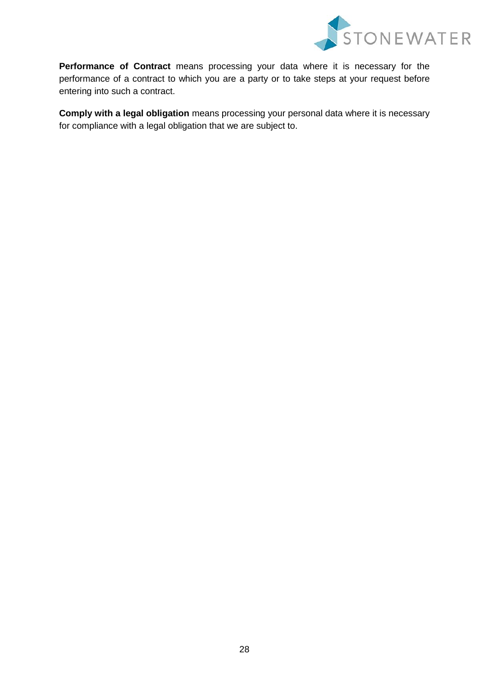

**Performance of Contract** means processing your data where it is necessary for the performance of a contract to which you are a party or to take steps at your request before entering into such a contract.

**Comply with a legal obligation** means processing your personal data where it is necessary for compliance with a legal obligation that we are subject to.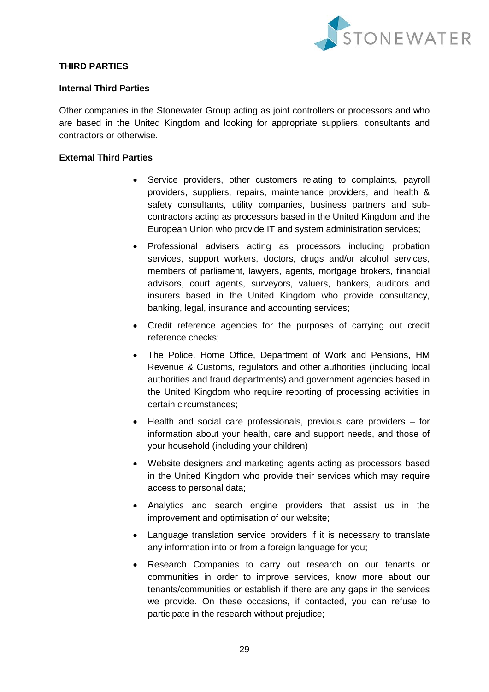

## **THIRD PARTIES**

### **Internal Third Parties**

Other companies in the Stonewater Group acting as joint controllers or processors and who are based in the United Kingdom and looking for appropriate suppliers, consultants and contractors or otherwise.

## **External Third Parties**

- Service providers, other customers relating to complaints, payroll providers, suppliers, repairs, maintenance providers, and health & safety consultants, utility companies, business partners and subcontractors acting as processors based in the United Kingdom and the European Union who provide IT and system administration services;
- Professional advisers acting as processors including probation services, support workers, doctors, drugs and/or alcohol services, members of parliament, lawyers, agents, mortgage brokers, financial advisors, court agents, surveyors, valuers, bankers, auditors and insurers based in the United Kingdom who provide consultancy, banking, legal, insurance and accounting services;
- Credit reference agencies for the purposes of carrying out credit reference checks;
- The Police, Home Office, Department of Work and Pensions, HM Revenue & Customs, regulators and other authorities (including local authorities and fraud departments) and government agencies based in the United Kingdom who require reporting of processing activities in certain circumstances;
- Health and social care professionals, previous care providers for information about your health, care and support needs, and those of your household (including your children)
- Website designers and marketing agents acting as processors based in the United Kingdom who provide their services which may require access to personal data;
- Analytics and search engine providers that assist us in the improvement and optimisation of our website;
- Language translation service providers if it is necessary to translate any information into or from a foreign language for you;
- Research Companies to carry out research on our tenants or communities in order to improve services, know more about our tenants/communities or establish if there are any gaps in the services we provide. On these occasions, if contacted, you can refuse to participate in the research without prejudice;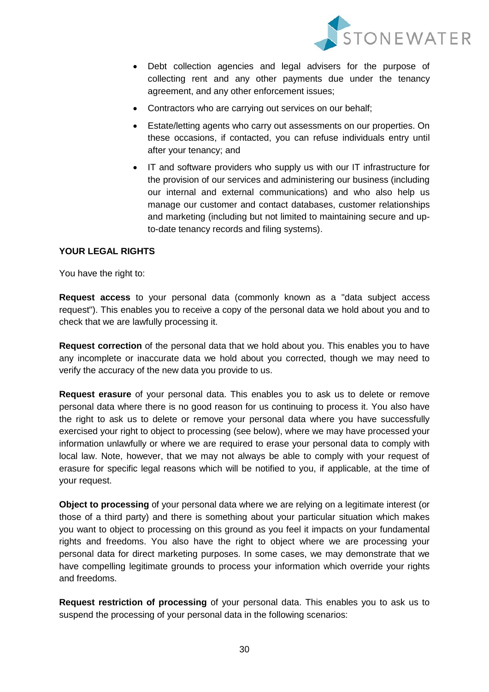

- Debt collection agencies and legal advisers for the purpose of collecting rent and any other payments due under the tenancy agreement, and any other enforcement issues;
- Contractors who are carrying out services on our behalf;
- Estate/letting agents who carry out assessments on our properties. On these occasions, if contacted, you can refuse individuals entry until after your tenancy; and
- IT and software providers who supply us with our IT infrastructure for the provision of our services and administering our business (including our internal and external communications) and who also help us manage our customer and contact databases, customer relationships and marketing (including but not limited to maintaining secure and upto-date tenancy records and filing systems).

## **YOUR LEGAL RIGHTS**

You have the right to:

**Request access** to your personal data (commonly known as a "data subject access request"). This enables you to receive a copy of the personal data we hold about you and to check that we are lawfully processing it.

**Request correction** of the personal data that we hold about you. This enables you to have any incomplete or inaccurate data we hold about you corrected, though we may need to verify the accuracy of the new data you provide to us.

**Request erasure** of your personal data. This enables you to ask us to delete or remove personal data where there is no good reason for us continuing to process it. You also have the right to ask us to delete or remove your personal data where you have successfully exercised your right to object to processing (see below), where we may have processed your information unlawfully or where we are required to erase your personal data to comply with local law. Note, however, that we may not always be able to comply with your request of erasure for specific legal reasons which will be notified to you, if applicable, at the time of your request.

**Object to processing** of your personal data where we are relying on a legitimate interest (or those of a third party) and there is something about your particular situation which makes you want to object to processing on this ground as you feel it impacts on your fundamental rights and freedoms. You also have the right to object where we are processing your personal data for direct marketing purposes. In some cases, we may demonstrate that we have compelling legitimate grounds to process your information which override your rights and freedoms.

**Request restriction of processing** of your personal data. This enables you to ask us to suspend the processing of your personal data in the following scenarios: